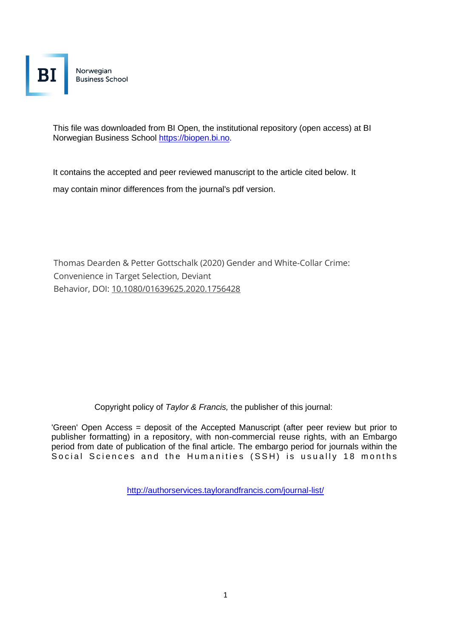Norwegian **Business School** 

This file was downloaded from BI Open, the institutional repository (open access) at BI Norwegian Business School https://biopen.bi.no.

It contains the accepted and peer reviewed manuscript to the article cited below. It may contain minor differences from the journal's pdf version.

Thomas Dearden & Petter Gottschalk (2020) Gender and White-Collar Crime: Convenience in Target Selection, Deviant Behavior, DOI: [10.1080/01639625.2020.1756428](https://doi.org/10.1080/01639625.2020.1756428)

Copyright policy of *Taylor & Francis,* the publisher of this journal:

'Green' Open Access = deposit of the Accepted Manuscript (after peer review but prior to publisher formatting) in a repository, with non-commercial reuse rights, with an Embargo period from date of publication of the final article. The embargo period for journals within the Social Sciences and the Humanities (SSH) is usually 18 months

<http://authorservices.taylorandfrancis.com/journal-list/>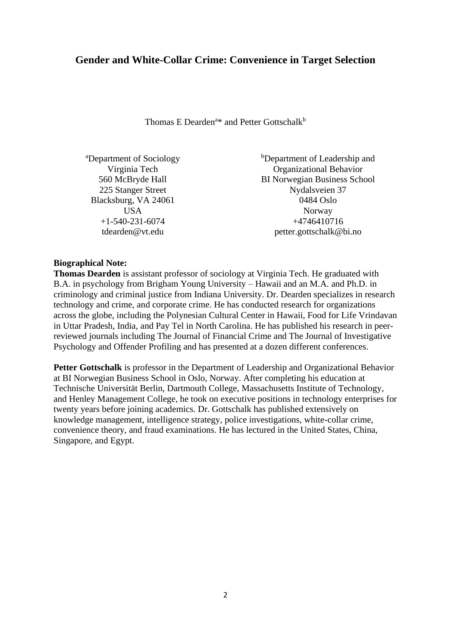## **Gender and White-Collar Crime: Convenience in Target Selection**

Thomas E Dearden<sup>a\*</sup> and Petter Gottschalk<sup>b</sup>

| <sup>b</sup> Department of Leadership and |
|-------------------------------------------|
| <b>Organizational Behavior</b>            |
| <b>BI Norwegian Business School</b>       |
| Nydalsveien 37                            |
| 0484 Oslo                                 |
| Norway                                    |
| +4746410716                               |
| petter.gottschalk@bi.no                   |
|                                           |

### **Biographical Note:**

**Thomas Dearden** is assistant professor of sociology at Virginia Tech. He graduated with B.A. in psychology from Brigham Young University – Hawaii and an M.A. and Ph.D. in criminology and criminal justice from Indiana University. Dr. Dearden specializes in research technology and crime, and corporate crime. He has conducted research for organizations across the globe, including the Polynesian Cultural Center in Hawaii, Food for Life Vrindavan in Uttar Pradesh, India, and Pay Tel in North Carolina. He has published his research in peerreviewed journals including The Journal of Financial Crime and The Journal of Investigative Psychology and Offender Profiling and has presented at a dozen different conferences.

**Petter Gottschalk** is professor in the Department of Leadership and Organizational Behavior at BI Norwegian Business School in Oslo, Norway. After completing his education at Technische Universität Berlin, Dartmouth College, Massachusetts Institute of Technology, and Henley Management College, he took on executive positions in technology enterprises for twenty years before joining academics. Dr. Gottschalk has published extensively on knowledge management, intelligence strategy, police investigations, white-collar crime, convenience theory, and fraud examinations. He has lectured in the United States, China, Singapore, and Egypt.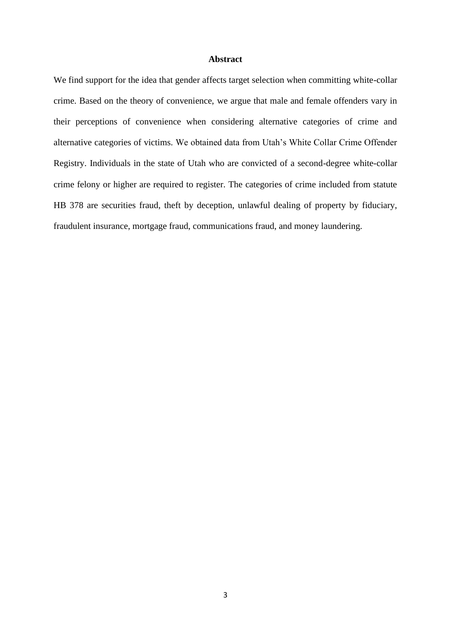#### **Abstract**

We find support for the idea that gender affects target selection when committing white-collar crime. Based on the theory of convenience, we argue that male and female offenders vary in their perceptions of convenience when considering alternative categories of crime and alternative categories of victims. We obtained data from Utah's White Collar Crime Offender Registry. Individuals in the state of Utah who are convicted of a second-degree white-collar crime felony or higher are required to register. The categories of crime included from statute HB 378 are securities fraud, theft by deception, unlawful dealing of property by fiduciary, fraudulent insurance, mortgage fraud, communications fraud, and money laundering.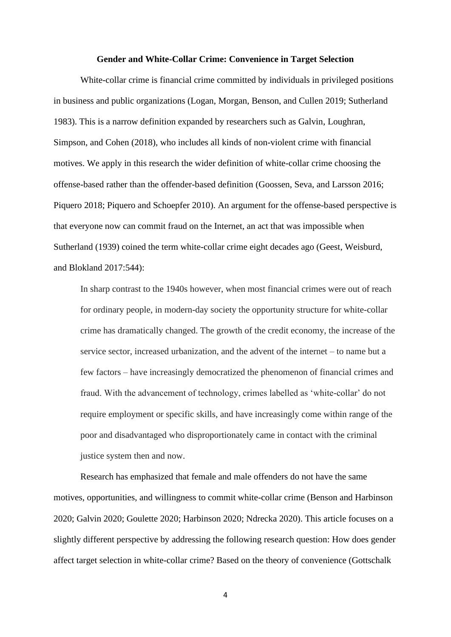#### **Gender and White-Collar Crime: Convenience in Target Selection**

White-collar crime is financial crime committed by individuals in privileged positions in business and public organizations (Logan, Morgan, Benson, and Cullen 2019; Sutherland 1983). This is a narrow definition expanded by researchers such as Galvin, Loughran, Simpson, and Cohen (2018), who includes all kinds of non-violent crime with financial motives. We apply in this research the wider definition of white-collar crime choosing the offense-based rather than the offender-based definition (Goossen, Seva, and Larsson 2016; Piquero 2018; Piquero and Schoepfer 2010). An argument for the offense-based perspective is that everyone now can commit fraud on the Internet, an act that was impossible when Sutherland (1939) coined the term white-collar crime eight decades ago (Geest, Weisburd, and Blokland 2017:544):

In sharp contrast to the 1940s however, when most financial crimes were out of reach for ordinary people, in modern-day society the opportunity structure for white-collar crime has dramatically changed. The growth of the credit economy, the increase of the service sector, increased urbanization, and the advent of the internet – to name but a few factors – have increasingly democratized the phenomenon of financial crimes and fraud. With the advancement of technology, crimes labelled as 'white-collar' do not require employment or specific skills, and have increasingly come within range of the poor and disadvantaged who disproportionately came in contact with the criminal justice system then and now.

Research has emphasized that female and male offenders do not have the same motives, opportunities, and willingness to commit white-collar crime (Benson and Harbinson 2020; Galvin 2020; Goulette 2020; Harbinson 2020; Ndrecka 2020). This article focuses on a slightly different perspective by addressing the following research question: How does gender affect target selection in white-collar crime? Based on the theory of convenience (Gottschalk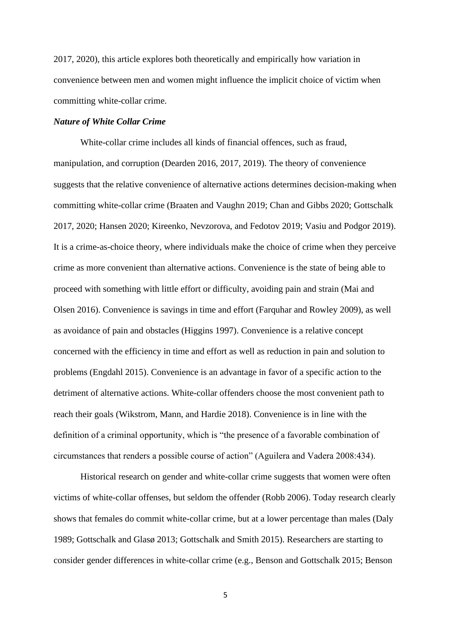2017, 2020), this article explores both theoretically and empirically how variation in convenience between men and women might influence the implicit choice of victim when committing white-collar crime.

## *Nature of White Collar Crime*

White-collar crime includes all kinds of financial offences, such as fraud, manipulation, and corruption (Dearden 2016, 2017, 2019). The theory of convenience suggests that the relative convenience of alternative actions determines decision-making when committing white-collar crime (Braaten and Vaughn 2019; Chan and Gibbs 2020; Gottschalk 2017, 2020; Hansen 2020; Kireenko, Nevzorova, and Fedotov 2019; Vasiu and Podgor 2019). It is a crime-as-choice theory, where individuals make the choice of crime when they perceive crime as more convenient than alternative actions. Convenience is the state of being able to proceed with something with little effort or difficulty, avoiding pain and strain (Mai and Olsen 2016). Convenience is savings in time and effort (Farquhar and Rowley 2009), as well as avoidance of pain and obstacles (Higgins 1997). Convenience is a relative concept concerned with the efficiency in time and effort as well as reduction in pain and solution to problems (Engdahl 2015). Convenience is an advantage in favor of a specific action to the detriment of alternative actions. White-collar offenders choose the most convenient path to reach their goals (Wikstrom, Mann, and Hardie 2018). Convenience is in line with the definition of a criminal opportunity, which is "the presence of a favorable combination of circumstances that renders a possible course of action" (Aguilera and Vadera 2008:434).

Historical research on gender and white-collar crime suggests that women were often victims of white-collar offenses, but seldom the offender (Robb 2006). Today research clearly shows that females do commit white-collar crime, but at a lower percentage than males (Daly 1989; Gottschalk and Glasø 2013; Gottschalk and Smith 2015). Researchers are starting to consider gender differences in white-collar crime (e.g., Benson and Gottschalk 2015; Benson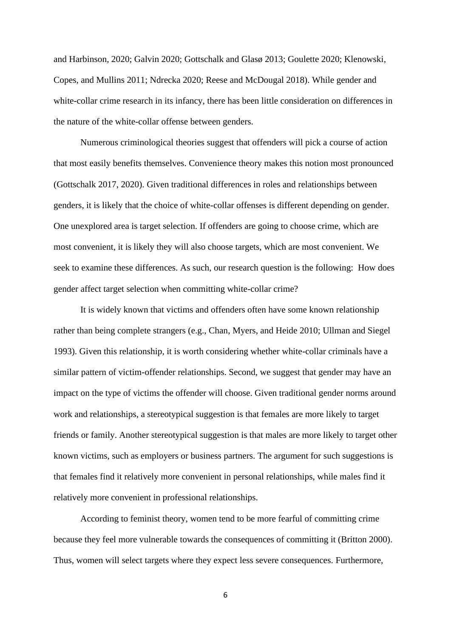and Harbinson, 2020; Galvin 2020; Gottschalk and Glasø 2013; Goulette 2020; Klenowski, Copes, and Mullins 2011; Ndrecka 2020; Reese and McDougal 2018). While gender and white-collar crime research in its infancy, there has been little consideration on differences in the nature of the white-collar offense between genders.

Numerous criminological theories suggest that offenders will pick a course of action that most easily benefits themselves. Convenience theory makes this notion most pronounced (Gottschalk 2017, 2020). Given traditional differences in roles and relationships between genders, it is likely that the choice of white-collar offenses is different depending on gender. One unexplored area is target selection. If offenders are going to choose crime, which are most convenient, it is likely they will also choose targets, which are most convenient. We seek to examine these differences. As such, our research question is the following: How does gender affect target selection when committing white-collar crime?

It is widely known that victims and offenders often have some known relationship rather than being complete strangers (e.g., Chan, Myers, and Heide 2010; Ullman and Siegel 1993). Given this relationship, it is worth considering whether white-collar criminals have a similar pattern of victim-offender relationships. Second, we suggest that gender may have an impact on the type of victims the offender will choose. Given traditional gender norms around work and relationships, a stereotypical suggestion is that females are more likely to target friends or family. Another stereotypical suggestion is that males are more likely to target other known victims, such as employers or business partners. The argument for such suggestions is that females find it relatively more convenient in personal relationships, while males find it relatively more convenient in professional relationships.

According to feminist theory, women tend to be more fearful of committing crime because they feel more vulnerable towards the consequences of committing it (Britton 2000). Thus, women will select targets where they expect less severe consequences. Furthermore,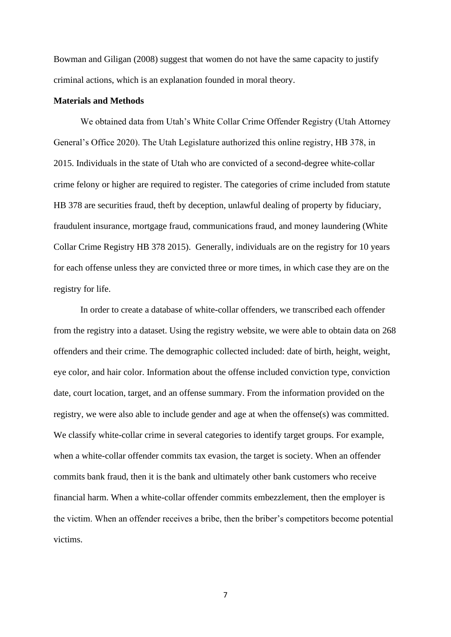Bowman and Giligan (2008) suggest that women do not have the same capacity to justify criminal actions, which is an explanation founded in moral theory.

#### **Materials and Methods**

We obtained data from Utah's White Collar Crime Offender Registry (Utah Attorney General's Office 2020). The Utah Legislature authorized this online registry, HB 378, in 2015. Individuals in the state of Utah who are convicted of a second-degree white-collar crime felony or higher are required to register. The categories of crime included from statute HB 378 are securities fraud, theft by deception, unlawful dealing of property by fiduciary, fraudulent insurance, mortgage fraud, communications fraud, and money laundering (White Collar Crime Registry HB 378 2015). Generally, individuals are on the registry for 10 years for each offense unless they are convicted three or more times, in which case they are on the registry for life.

In order to create a database of white-collar offenders, we transcribed each offender from the registry into a dataset. Using the registry website, we were able to obtain data on 268 offenders and their crime. The demographic collected included: date of birth, height, weight, eye color, and hair color. Information about the offense included conviction type, conviction date, court location, target, and an offense summary. From the information provided on the registry, we were also able to include gender and age at when the offense(s) was committed. We classify white-collar crime in several categories to identify target groups. For example, when a white-collar offender commits tax evasion, the target is society. When an offender commits bank fraud, then it is the bank and ultimately other bank customers who receive financial harm. When a white-collar offender commits embezzlement, then the employer is the victim. When an offender receives a bribe, then the briber's competitors become potential victims.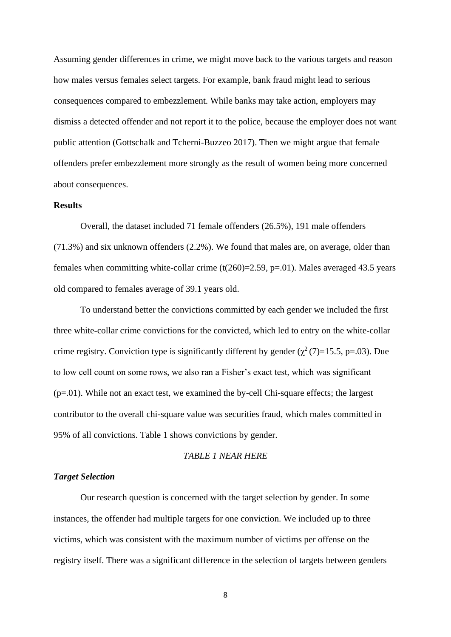Assuming gender differences in crime, we might move back to the various targets and reason how males versus females select targets. For example, bank fraud might lead to serious consequences compared to embezzlement. While banks may take action, employers may dismiss a detected offender and not report it to the police, because the employer does not want public attention (Gottschalk and Tcherni-Buzzeo 2017). Then we might argue that female offenders prefer embezzlement more strongly as the result of women being more concerned about consequences.

## **Results**

Overall, the dataset included 71 female offenders (26.5%), 191 male offenders (71.3%) and six unknown offenders (2.2%). We found that males are, on average, older than females when committing white-collar crime  $(t(260)=2.59, p=.01)$ . Males averaged 43.5 years old compared to females average of 39.1 years old.

To understand better the convictions committed by each gender we included the first three white-collar crime convictions for the convicted, which led to entry on the white-collar crime registry. Conviction type is significantly different by gender ( $\chi^2$  (7)=15.5, p=.03). Due to low cell count on some rows, we also ran a Fisher's exact test, which was significant  $(p=0.01)$ . While not an exact test, we examined the by-cell Chi-square effects; the largest contributor to the overall chi-square value was securities fraud, which males committed in 95% of all convictions. Table 1 shows convictions by gender.

## *TABLE 1 NEAR HERE*

## *Target Selection*

Our research question is concerned with the target selection by gender. In some instances, the offender had multiple targets for one conviction. We included up to three victims, which was consistent with the maximum number of victims per offense on the registry itself. There was a significant difference in the selection of targets between genders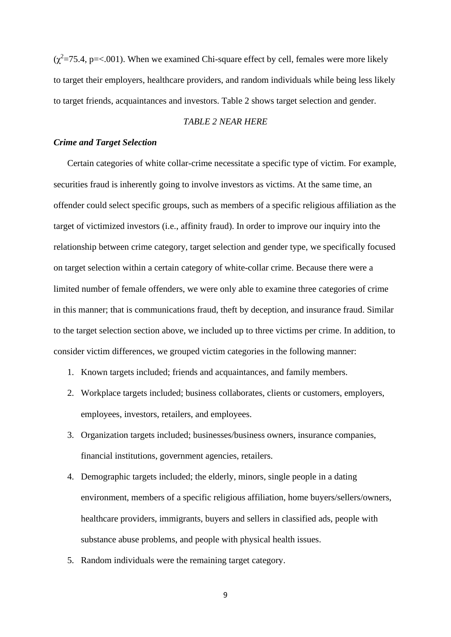$(\chi^2 = 75.4, p = < 0.001)$ . When we examined Chi-square effect by cell, females were more likely to target their employers, healthcare providers, and random individuals while being less likely to target friends, acquaintances and investors. Table 2 shows target selection and gender.

## *TABLE 2 NEAR HERE*

### *Crime and Target Selection*

Certain categories of white collar-crime necessitate a specific type of victim. For example, securities fraud is inherently going to involve investors as victims. At the same time, an offender could select specific groups, such as members of a specific religious affiliation as the target of victimized investors (i.e., affinity fraud). In order to improve our inquiry into the relationship between crime category, target selection and gender type, we specifically focused on target selection within a certain category of white-collar crime. Because there were a limited number of female offenders, we were only able to examine three categories of crime in this manner; that is communications fraud, theft by deception, and insurance fraud. Similar to the target selection section above, we included up to three victims per crime. In addition, to consider victim differences, we grouped victim categories in the following manner:

- 1. Known targets included; friends and acquaintances, and family members.
- 2. Workplace targets included; business collaborates, clients or customers, employers, employees, investors, retailers, and employees.
- 3. Organization targets included; businesses/business owners, insurance companies, financial institutions, government agencies, retailers.
- 4. Demographic targets included; the elderly, minors, single people in a dating environment, members of a specific religious affiliation, home buyers/sellers/owners, healthcare providers, immigrants, buyers and sellers in classified ads, people with substance abuse problems, and people with physical health issues.
- 5. Random individuals were the remaining target category.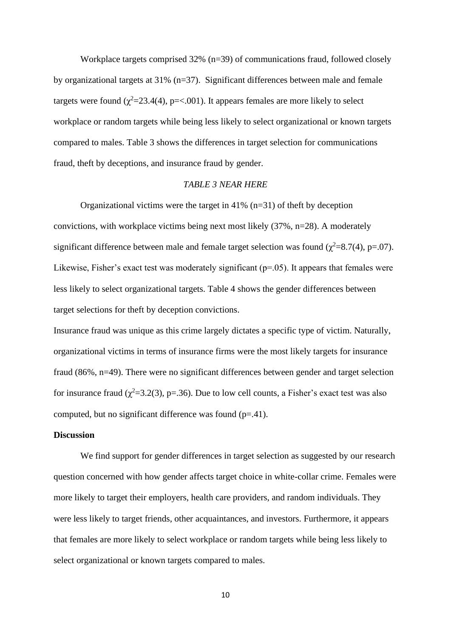Workplace targets comprised 32% (n=39) of communications fraud, followed closely by organizational targets at 31% (n=37). Significant differences between male and female targets were found ( $\chi^2$ =23.4(4), p=<.001). It appears females are more likely to select workplace or random targets while being less likely to select organizational or known targets compared to males. Table 3 shows the differences in target selection for communications fraud, theft by deceptions, and insurance fraud by gender.

#### *TABLE 3 NEAR HERE*

Organizational victims were the target in  $41\%$  (n=31) of theft by deception convictions, with workplace victims being next most likely (37%, n=28). A moderately significant difference between male and female target selection was found ( $\chi^2$ =8.7(4), p=.07). Likewise, Fisher's exact test was moderately significant  $(p=0.05)$ . It appears that females were less likely to select organizational targets. Table 4 shows the gender differences between target selections for theft by deception convictions.

Insurance fraud was unique as this crime largely dictates a specific type of victim. Naturally, organizational victims in terms of insurance firms were the most likely targets for insurance fraud (86%, n=49). There were no significant differences between gender and target selection for insurance fraud ( $\chi^2$ =3.2(3), p=.36). Due to low cell counts, a Fisher's exact test was also computed, but no significant difference was found  $(p=41)$ .

## **Discussion**

We find support for gender differences in target selection as suggested by our research question concerned with how gender affects target choice in white-collar crime. Females were more likely to target their employers, health care providers, and random individuals. They were less likely to target friends, other acquaintances, and investors. Furthermore, it appears that females are more likely to select workplace or random targets while being less likely to select organizational or known targets compared to males.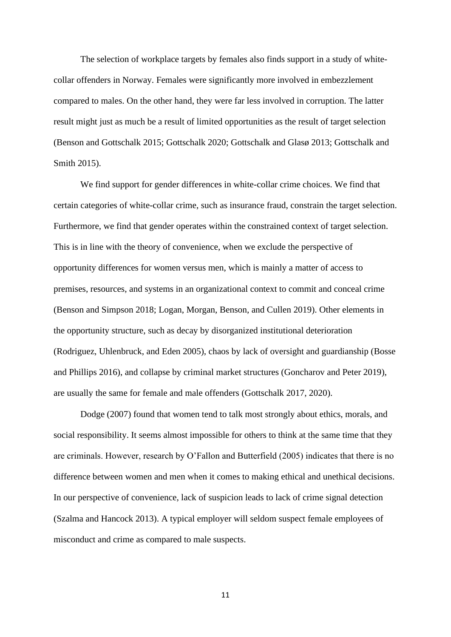The selection of workplace targets by females also finds support in a study of whitecollar offenders in Norway. Females were significantly more involved in embezzlement compared to males. On the other hand, they were far less involved in corruption. The latter result might just as much be a result of limited opportunities as the result of target selection (Benson and Gottschalk 2015; Gottschalk 2020; Gottschalk and Glasø 2013; Gottschalk and Smith 2015).

We find support for gender differences in white-collar crime choices. We find that certain categories of white-collar crime, such as insurance fraud, constrain the target selection. Furthermore, we find that gender operates within the constrained context of target selection. This is in line with the theory of convenience, when we exclude the perspective of opportunity differences for women versus men, which is mainly a matter of access to premises, resources, and systems in an organizational context to commit and conceal crime (Benson and Simpson 2018; Logan, Morgan, Benson, and Cullen 2019). Other elements in the opportunity structure, such as decay by disorganized institutional deterioration (Rodriguez, Uhlenbruck, and Eden 2005), chaos by lack of oversight and guardianship (Bosse and Phillips 2016), and collapse by criminal market structures (Goncharov and Peter 2019), are usually the same for female and male offenders (Gottschalk 2017, 2020).

Dodge (2007) found that women tend to talk most strongly about ethics, morals, and social responsibility. It seems almost impossible for others to think at the same time that they are criminals. However, research by O'Fallon and Butterfield (2005) indicates that there is no difference between women and men when it comes to making ethical and unethical decisions. In our perspective of convenience, lack of suspicion leads to lack of crime signal detection (Szalma and Hancock 2013). A typical employer will seldom suspect female employees of misconduct and crime as compared to male suspects.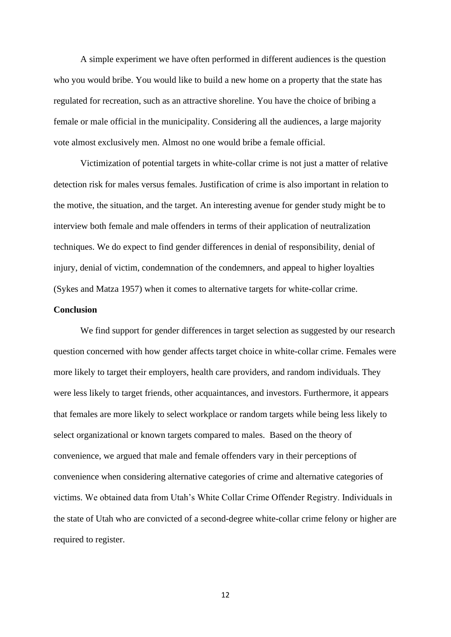A simple experiment we have often performed in different audiences is the question who you would bribe. You would like to build a new home on a property that the state has regulated for recreation, such as an attractive shoreline. You have the choice of bribing a female or male official in the municipality. Considering all the audiences, a large majority vote almost exclusively men. Almost no one would bribe a female official.

Victimization of potential targets in white-collar crime is not just a matter of relative detection risk for males versus females. Justification of crime is also important in relation to the motive, the situation, and the target. An interesting avenue for gender study might be to interview both female and male offenders in terms of their application of neutralization techniques. We do expect to find gender differences in denial of responsibility, denial of injury, denial of victim, condemnation of the condemners, and appeal to higher loyalties (Sykes and Matza 1957) when it comes to alternative targets for white-collar crime.

## **Conclusion**

We find support for gender differences in target selection as suggested by our research question concerned with how gender affects target choice in white-collar crime. Females were more likely to target their employers, health care providers, and random individuals. They were less likely to target friends, other acquaintances, and investors. Furthermore, it appears that females are more likely to select workplace or random targets while being less likely to select organizational or known targets compared to males. Based on the theory of convenience, we argued that male and female offenders vary in their perceptions of convenience when considering alternative categories of crime and alternative categories of victims. We obtained data from Utah's White Collar Crime Offender Registry. Individuals in the state of Utah who are convicted of a second-degree white-collar crime felony or higher are required to register.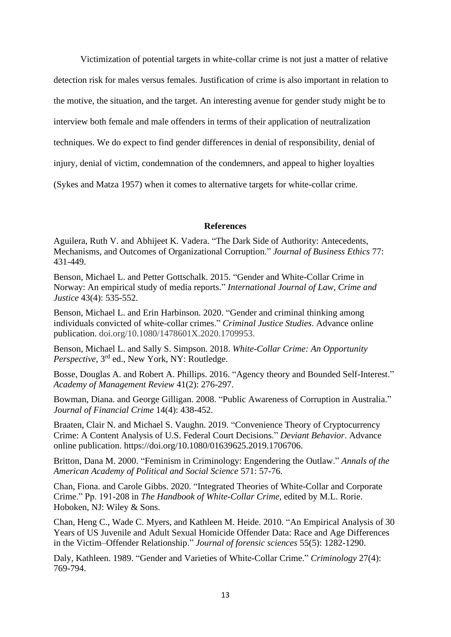Victimization of potential targets in white-collar crime is not just a matter of relative detection risk for males versus females. Justification of crime is also important in relation to the motive, the situation, and the target. An interesting avenue for gender study might be to interview both female and male offenders in terms of their application of neutralization techniques. We do expect to find gender differences in denial of responsibility, denial of injury, denial of victim, condemnation of the condemners, and appeal to higher loyalties (Sykes and Matza 1957) when it comes to alternative targets for white-collar crime.

## **References**

Aguilera, Ruth V. and Abhijeet K. Vadera. "The Dark Side of Authority: Antecedents, Mechanisms, and Outcomes of Organizational Corruption." *Journal of Business Ethics* 77: 431-449.

Benson, Michael L. and Petter Gottschalk. 2015. "Gender and White-Collar Crime in Norway: An empirical study of media reports." *International Journal of Law, Crime and Justice* 43(4): 535-552.

Benson, Michael L. and Erin Harbinson. 2020. "Gender and criminal thinking among individuals convicted of white-collar crimes." *Criminal Justice Studies*. Advance online publication. doi.org/10.1080/1478601X.2020.1709953.

Benson, Michael L. and Sally S. Simpson. 2018. *White-Collar Crime: An Opportunity*  Perspective, 3<sup>rd</sup> ed., New York, NY: Routledge.

Bosse, Douglas A. and Robert A. Phillips. 2016. "Agency theory and Bounded Self-Interest." *Academy of Management Review* 41(2): 276-297.

Bowman, Diana. and George Gilligan. 2008. "Public Awareness of Corruption in Australia." *Journal of Financial Crime* 14(4): 438-452.

Braaten, Clair N. and Michael S. Vaughn. 2019. "Convenience Theory of Cryptocurrency Crime: A Content Analysis of U.S. Federal Court Decisions." *Deviant Behavior*. Advance online publication. https://doi.org/10.1080/01639625.2019.1706706.

Britton, Dana M. 2000. "Feminism in Criminology: Engendering the Outlaw." *Annals of the American Academy of Political and Social Science* 571: 57-76.

Chan, Fiona. and Carole Gibbs. 2020. "Integrated Theories of White-Collar and Corporate Crime." Pp. 191-208 in *The Handbook of White-Collar Crime*, edited by M.L. Rorie. Hoboken, NJ: Wiley & Sons.

Chan, Heng C., Wade C. Myers, and Kathleen M. Heide. 2010. "An Empirical Analysis of 30 Years of US Juvenile and Adult Sexual Homicide Offender Data: Race and Age Differences in the Victim–Offender Relationship." *Journal of forensic sciences* 55(5): 1282-1290.

Daly, Kathleen. 1989. "Gender and Varieties of White‐Collar Crime." *Criminology* 27(4): 769-794.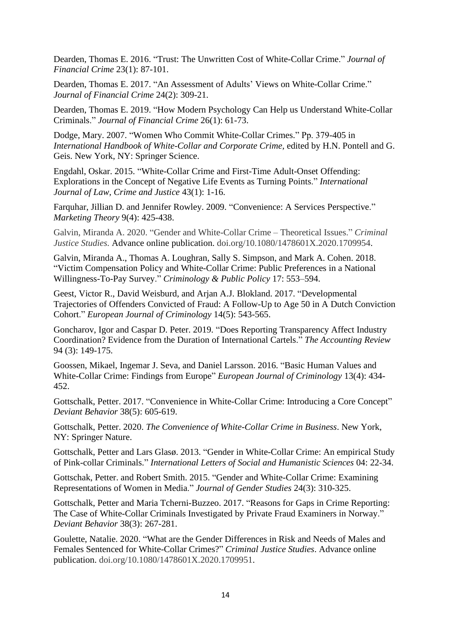Dearden, Thomas E. 2016. "Trust: The Unwritten Cost of White-Collar Crime." *Journal of Financial Crime* 23(1): 87-101.

Dearden, Thomas E. 2017. "An Assessment of Adults' Views on White-Collar Crime." *Journal of Financial Crime* 24(2): 309-21.

Dearden, Thomas E. 2019. "How Modern Psychology Can Help us Understand White-Collar Criminals." *Journal of Financial Crime* 26(1): 61-73.

Dodge, Mary. 2007. "Women Who Commit White-Collar Crimes." Pp. 379-405 in *International Handbook of White-Collar and Corporate Crime,* edited by H.N. Pontell and G. Geis. New York, NY: Springer Science.

Engdahl, Oskar. 2015. "White-Collar Crime and First-Time Adult-Onset Offending: Explorations in the Concept of Negative Life Events as Turning Points." *International Journal of Law, Crime and Justice* 43(1): 1-16.

Farquhar, Jillian D. and Jennifer Rowley. 2009. "Convenience: A Services Perspective." *Marketing Theory* 9(4): 425-438.

Galvin, Miranda A. 2020. "Gender and White-Collar Crime – Theoretical Issues." *Criminal Justice Studies.* Advance online publication. doi.org/10.1080/1478601X.2020.1709954.

Galvin, Miranda A., Thomas A. Loughran, Sally S. Simpson, and Mark A. Cohen. 2018. "Victim Compensation Policy and White-Collar Crime: Public Preferences in a National Willingness-To-Pay Survey." *Criminology & Public Policy* 17: 553–594.

Geest, Victor R., David Weisburd, and Arjan A.J. Blokland. 2017. "Developmental Trajectories of Offenders Convicted of Fraud: A Follow-Up to Age 50 in A Dutch Conviction Cohort." *European Journal of Criminology* 14(5): 543-565.

Goncharov, Igor and Caspar D. Peter. 2019. "Does Reporting Transparency Affect Industry Coordination? Evidence from the Duration of International Cartels." *The Accounting Review* 94 (3): 149-175.

Goossen, Mikael, Ingemar J. Seva, and Daniel Larsson. 2016. "Basic Human Values and White-Collar Crime: Findings from Europe" *European Journal of Criminology* 13(4): 434- 452.

Gottschalk, Petter. 2017. "Convenience in White-Collar Crime: Introducing a Core Concept" *Deviant Behavior* 38(5): 605-619.

Gottschalk, Petter. 2020. *The Convenience of White-Collar Crime in Business*. New York, NY: Springer Nature.

Gottschalk, Petter and Lars Glasø. 2013. "Gender in White-Collar Crime: An empirical Study of Pink-collar Criminals." *International Letters of Social and Humanistic Sciences* 04: 22-34.

Gottschak, Petter. and Robert Smith. 2015. "Gender and White-Collar Crime: Examining Representations of Women in Media." *Journal of Gender Studies* 24(3): 310-325.

Gottschalk, Petter and Maria Tcherni-Buzzeo. 2017. "Reasons for Gaps in Crime Reporting: The Case of White-Collar Criminals Investigated by Private Fraud Examiners in Norway." *Deviant Behavior* 38(3): 267-281.

Goulette, Natalie. 2020. "What are the Gender Differences in Risk and Needs of Males and Females Sentenced for White-Collar Crimes?" *Criminal Justice Studies*. Advance online publication. doi.org/10.1080/1478601X.2020.1709951.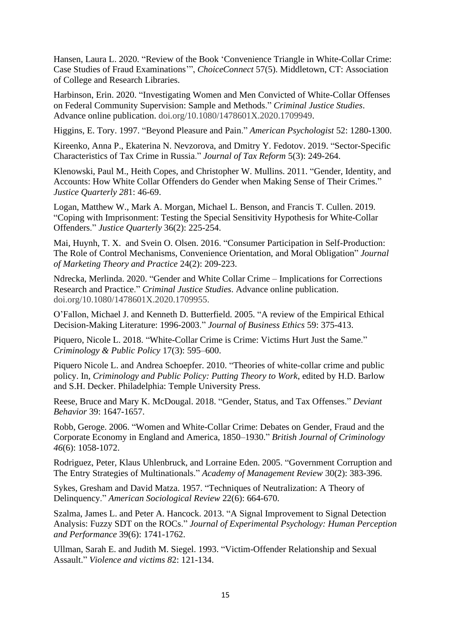Hansen, Laura L. 2020. "Review of the Book 'Convenience Triangle in White-Collar Crime: Case Studies of Fraud Examinations'", *ChoiceConnect* 57(5). Middletown, CT: Association of College and Research Libraries.

Harbinson, Erin. 2020. "Investigating Women and Men Convicted of White-Collar Offenses on Federal Community Supervision: Sample and Methods." *Criminal Justice Studies*. Advance online publication. doi.org/10.1080/1478601X.2020.1709949.

Higgins, E. Tory. 1997. "Beyond Pleasure and Pain." *American Psychologist* 52: 1280-1300.

Kireenko, Anna P., Ekaterina N. Nevzorova, and Dmitry Y. Fedotov. 2019. "Sector-Specific Characteristics of Tax Crime in Russia." *Journal of Tax Reform* 5(3): 249-264.

Klenowski, Paul M., Heith Copes, and Christopher W. Mullins. 2011. "Gender, Identity, and Accounts: How White Collar Offenders do Gender when Making Sense of Their Crimes." *Justice Quarterly 28*1: 46-69.

Logan, Matthew W., Mark A. Morgan, Michael L. Benson, and Francis T. Cullen. 2019. "Coping with Imprisonment: Testing the Special Sensitivity Hypothesis for White-Collar Offenders." *Justice Quarterly* 36(2): 225-254.

Mai, Huynh, T. X. and Svein O. Olsen. 2016. "Consumer Participation in Self-Production: The Role of Control Mechanisms, Convenience Orientation, and Moral Obligation" *Journal of Marketing Theory and Practice* 24(2): 209-223.

Ndrecka, Merlinda. 2020. "Gender and White Collar Crime – Implications for Corrections Research and Practice." *Criminal Justice Studies*. Advance online publication. doi.org/10.1080/1478601X.2020.1709955.

O'Fallon, Michael J. and Kenneth D. Butterfield. 2005. "A review of the Empirical Ethical Decision-Making Literature: 1996-2003." *Journal of Business Ethics* 59: 375-413.

Piquero, Nicole L. 2018. "White-Collar Crime is Crime: Victims Hurt Just the Same." *Criminology & Public Policy* 17(3): 595–600.

Piquero Nicole L. and Andrea Schoepfer. 2010. "Theories of white-collar crime and public policy. In, *Criminology and Public Policy: Putting Theory to Work*, edited by H.D. Barlow and S.H. Decker. Philadelphia: Temple University Press.

Reese, Bruce and Mary K. McDougal. 2018. "Gender, Status, and Tax Offenses." *Deviant Behavior* 39: 1647-1657.

Robb, Geroge. 2006. "Women and White-Collar Crime: Debates on Gender, Fraud and the Corporate Economy in England and America, 1850–1930." *British Journal of Criminology 46*(6): 1058-1072.

Rodriguez, Peter, Klaus Uhlenbruck, and Lorraine Eden. 2005. "Government Corruption and The Entry Strategies of Multinationals." *Academy of Management Review* 30(2): 383-396.

Sykes, Gresham and David Matza. 1957. "Techniques of Neutralization: A Theory of Delinquency." *American Sociological Review* 22(6): 664-670.

Szalma, James L. and Peter A. Hancock. 2013. "A Signal Improvement to Signal Detection Analysis: Fuzzy SDT on the ROCs." *Journal of Experimental Psychology: Human Perception and Performance* 39(6): 1741-1762.

Ullman, Sarah E. and Judith M. Siegel. 1993. "Victim-Offender Relationship and Sexual Assault." *Violence and victims 8*2: 121-134.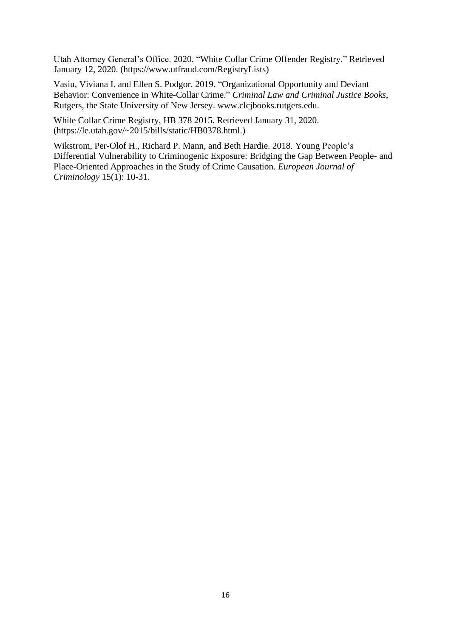Utah Attorney General's Office. 2020. "White Collar Crime Offender Registry." Retrieved January 12, 2020. (https://www.utfraud.com/RegistryLists)

Vasiu, Viviana I. and Ellen S. Podgor. 2019. "Organizational Opportunity and Deviant Behavior: Convenience in White-Collar Crime." *Criminal Law and Criminal Justice Books*, Rutgers, the State University of New Jersey. www.clcjbooks.rutgers.edu.

White Collar Crime Registry, HB 378 2015. Retrieved January 31, 2020. (https://le.utah.gov/~2015/bills/static/HB0378.html.)

Wikstrom, Per-Olof H., Richard P. Mann, and Beth Hardie. 2018. Young People's Differential Vulnerability to Criminogenic Exposure: Bridging the Gap Between People- and Place-Oriented Approaches in the Study of Crime Causation. *European Journal of Criminology* 15(1): 10-31.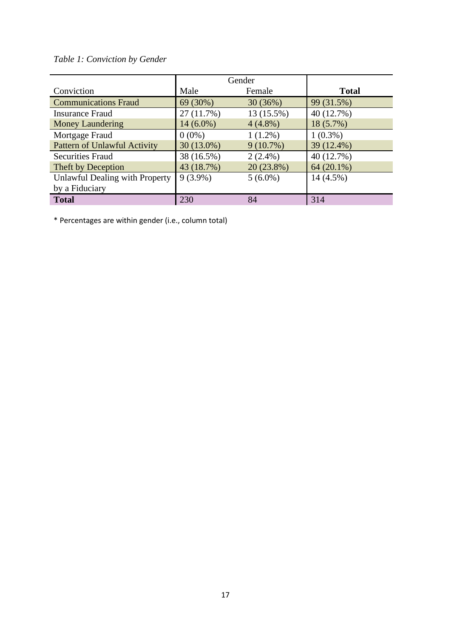# *Table 1: Conviction by Gender*

|                                     | Gender      |              |              |  |
|-------------------------------------|-------------|--------------|--------------|--|
| Conviction                          | Male        | Female       | <b>Total</b> |  |
| <b>Communications Fraud</b>         | 69 (30%)    | 30(36%)      | 99 (31.5%)   |  |
| <b>Insurance Fraud</b>              | 27(11.7%)   | 13 (15.5%)   | 40 (12.7%)   |  |
| <b>Money Laundering</b>             | $14(6.0\%)$ | $4(4.8\%)$   | 18 (5.7%)    |  |
| Mortgage Fraud                      | $0(0\%)$    | $1(1.2\%)$   | $1(0.3\%)$   |  |
| <b>Pattern of Unlawful Activity</b> | 30 (13.0%)  | $9(10.7\%)$  | 39 (12.4%)   |  |
| <b>Securities Fraud</b>             | 38 (16.5%)  | $2(2.4\%)$   | 40 (12.7%)   |  |
| Theft by Deception                  | 43 (18.7%)  | $20(23.8\%)$ | $64(20.1\%)$ |  |
| Unlawful Dealing with Property      | $9(3.9\%)$  | $5(6.0\%)$   | 14 (4.5%)    |  |
| by a Fiduciary                      |             |              |              |  |
| <b>Total</b>                        | 230         | 84           | 314          |  |

\* Percentages are within gender (i.e., column total)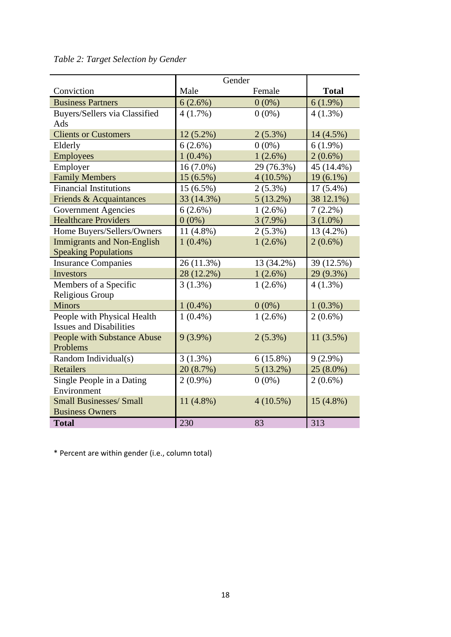|                                   | Gender      |             |              |
|-----------------------------------|-------------|-------------|--------------|
| Conviction                        | Male        | Female      | <b>Total</b> |
| <b>Business Partners</b>          | 6(2.6%)     | $0(0\%)$    | $6(1.9\%)$   |
| Buyers/Sellers via Classified     | 4(1.7%)     | $0(0\%)$    | $4(1.3\%)$   |
| Ads                               |             |             |              |
| <b>Clients or Customers</b>       | $12(5.2\%)$ | $2(5.3\%)$  | 14 (4.5%)    |
| Elderly                           | $6(2.6\%)$  | $0(0\%)$    | $6(1.9\%)$   |
| <b>Employees</b>                  | $1(0.4\%)$  | 1(2.6%)     | $2(0.6\%)$   |
| Employer                          | $16(7.0\%)$ | 29 (76.3%)  | 45 (14.4%)   |
| <b>Family Members</b>             | $15(6.5\%)$ | $4(10.5\%)$ | $19(6.1\%)$  |
| <b>Financial Institutions</b>     | $15(6.5\%)$ | $2(5.3\%)$  | $17(5.4\%)$  |
| Friends & Acquaintances           | 33 (14.3%)  | $5(13.2\%)$ | 38 12.1%)    |
| <b>Government Agencies</b>        | 6(2.6%)     | $1(2.6\%)$  | $7(2.2\%)$   |
| <b>Healthcare Providers</b>       | $0(0\%)$    | $3(7.9\%)$  | $3(1.0\%)$   |
| Home Buyers/Sellers/Owners        | $11(4.8\%)$ | $2(5.3\%)$  | 13 (4.2%)    |
| <b>Immigrants and Non-English</b> | $1(0.4\%)$  | $1(2.6\%)$  | $2(0.6\%)$   |
| <b>Speaking Populations</b>       |             |             |              |
| <b>Insurance Companies</b>        | 26 (11.3%)  | 13 (34.2%)  | 39 (12.5%)   |
| <b>Investors</b>                  | 28 (12.2%)  | 1(2.6%)     | 29 (9.3%)    |
| Members of a Specific             | 3(1.3%)     | $1(2.6\%)$  | $4(1.3\%)$   |
| Religious Group                   |             |             |              |
| <b>Minors</b>                     | $1(0.4\%)$  | $0(0\%)$    | $1(0.3\%)$   |
| People with Physical Health       | $1(0.4\%)$  | $1(2.6\%)$  | $2(0.6\%)$   |
| <b>Issues and Disabilities</b>    |             |             |              |
| People with Substance Abuse       | $9(3.9\%)$  | $2(5.3\%)$  | 11(3.5%)     |
| Problems                          |             |             |              |
| Random Individual(s)              | $3(1.3\%)$  | $6(15.8\%)$ | $9(2.9\%)$   |
| Retailers                         | 20 (8.7%)   | 5(13.2%)    | $25(8.0\%)$  |
| Single People in a Dating         | $2(0.9\%)$  | $0(0\%)$    | $2(0.6\%)$   |
| Environment                       |             |             |              |
| <b>Small Businesses/ Small</b>    | $11(4.8\%)$ | $4(10.5\%)$ | $15(4.8\%)$  |
| <b>Business Owners</b>            |             |             |              |
| <b>Total</b>                      | 230         | 83          | 313          |

# *Table 2: Target Selection by Gender*

\* Percent are within gender (i.e., column total)